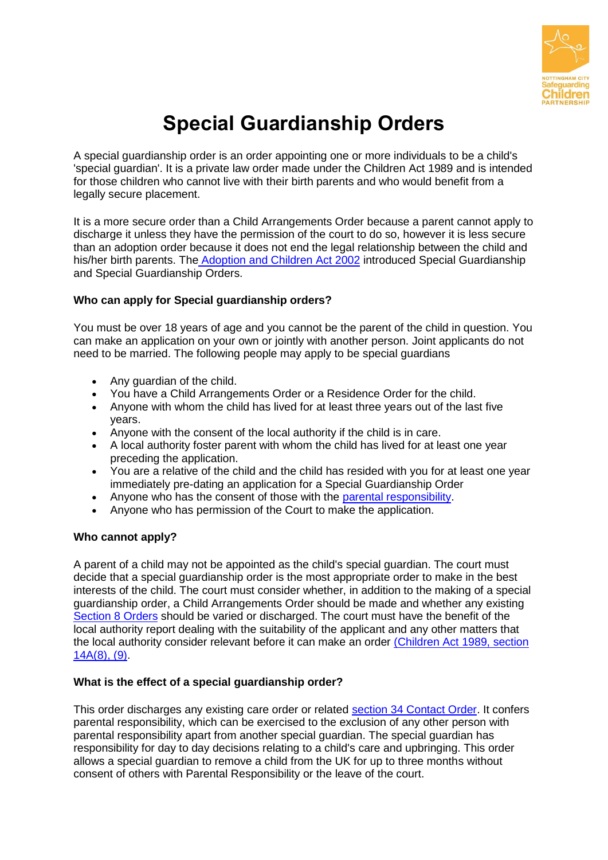

# **Special Guardianship Orders**

A special guardianship order is an order appointing one or more individuals to be a child's 'special guardian'. It is a private law order made under the Children Act 1989 and is intended for those children who cannot live with their birth parents and who would benefit from a legally secure placement.

It is a more secure order than a Child Arrangements Order because a parent cannot apply to discharge it unless they have the permission of the court to do so, however it is less secure than an adoption order because it does not end the legal relationship between the child and his/her birth parents. The [Adoption and Children Act 2002](http://www.legislation.gov.uk/ukpga/2002/38/section/115) introduced Special Guardianship and Special Guardianship Orders.

## **Who can apply for Special guardianship orders?**

You must be over 18 years of age and you cannot be the parent of the child in question. You can make an application on your own or jointly with another person. Joint applicants do not need to be married. The following people may apply to be special guardians

- Any quardian of the child.
- You have a Child Arrangements Order or a Residence Order for the child.
- Anyone with whom the child has lived for at least three years out of the last five years.
- Anyone with the consent of the local authority if the child is in care.
- A local authority foster parent with whom the child has lived for at least one year preceding the application.
- You are a relative of the child and the child has resided with you for at least one year immediately pre-dating an application for a Special Guardianship Order
- Anyone who has the consent of those with the [parental responsibility.](http://www.familylives.org.uk/advice/divorce-and-separation/shared-parenting-and-contact/parental-responsibility/)
- Anyone who has permission of the Court to make the application.

### **Who cannot apply?**

A parent of a child may not be appointed as the child's special guardian. The court must decide that a special guardianship order is the most appropriate order to make in the best interests of the child. The court must consider whether, in addition to the making of a special guardianship order, a Child Arrangements Order should be made and whether any existing [Section 8 Orders](http://www.legislation.gov.uk/ukpga/1989/41/section/8) should be varied or discharged. The court must have the benefit of the local authority report dealing with the suitability of the applicant and any other matters that the local authority consider relevant before it can make an order [\(Children Act 1989, section](http://www.legislation.gov.uk/ukpga/1989/41/section/14A)  [14A\(8\), \(9\).](http://www.legislation.gov.uk/ukpga/1989/41/section/14A)

### **What is the effect of a special guardianship order?**

This order discharges any existing care order or related [section 34 Contact Order.](http://www.legislation.gov.uk/ukpga/1989/41/section/34) It confers parental responsibility, which can be exercised to the exclusion of any other person with parental responsibility apart from another special guardian. The special guardian has responsibility for day to day decisions relating to a child's care and upbringing. This order allows a special guardian to remove a child from the UK for up to three months without consent of others with Parental Responsibility or the leave of the court.